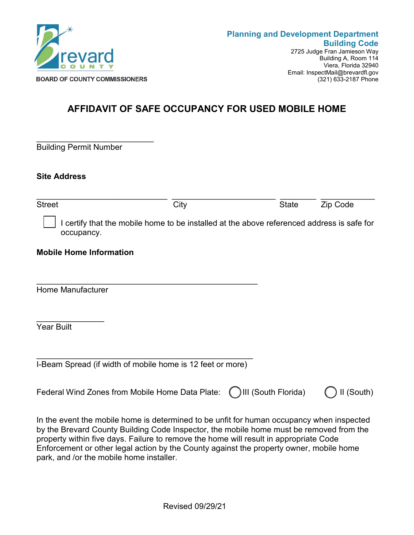

(321) 633-2187 Phone

## **AFFIDAVIT OF SAFE OCCUPANCY FOR USED MOBILE HOME**

\_\_\_\_\_\_\_\_\_\_\_\_\_\_\_\_\_\_\_\_\_\_\_\_\_\_ Building Permit Number

**Site Address**

| <b>Street</b>                                                                                            | City | <b>State</b>        | Zip Code |
|----------------------------------------------------------------------------------------------------------|------|---------------------|----------|
| I certify that the mobile home to be installed at the above referenced address is safe for<br>occupancy. |      |                     |          |
| <b>Mobile Home Information</b>                                                                           |      |                     |          |
|                                                                                                          |      |                     |          |
| <b>Home Manufacturer</b>                                                                                 |      |                     |          |
|                                                                                                          |      |                     |          |
| <b>Year Built</b>                                                                                        |      |                     |          |
|                                                                                                          |      |                     |          |
| I-Beam Spread (if width of mobile home is 12 feet or more)                                               |      |                     |          |
| Federal Wind Zones from Mobile Home Data Plate:                                                          |      | III (South Florida) | (South)  |

In the event the mobile home is determined to be unfit for human occupancy when inspected by the Brevard County Building Code Inspector, the mobile home must be removed from the property within five days. Failure to remove the home will result in appropriate Code Enforcement or other legal action by the County against the property owner, mobile home park, and /or the mobile home installer.